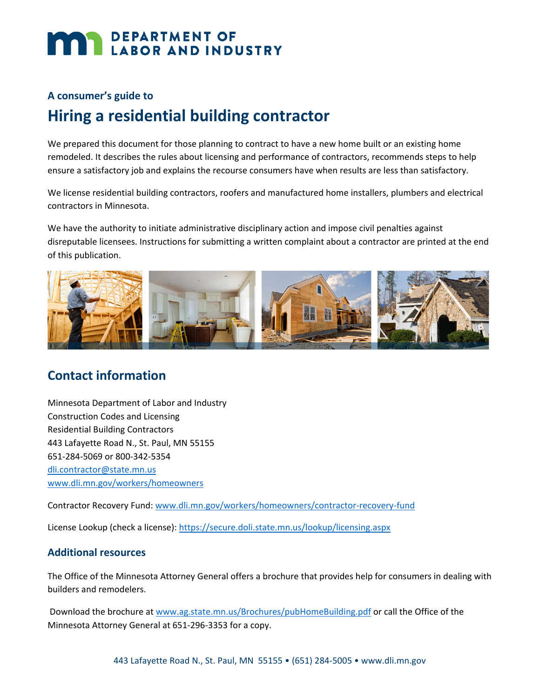# **DEPARTMENT OF LABOR AND INDUSTRY**

## **A consumer's guide to**

# **Hiring a residential building contractor**

We prepared this document for those planning to contract to have a new home built or an existing home remodeled. It describes the rules about licensing and performance of contractors, recommends steps to help ensure a satisfactory job and explains the recourse consumers have when results are less than satisfactory.

We license residential building contractors, roofers and manufactured home installers, plumbers and electrical contractors in Minnesota.

We have the authority to initiate administrative disciplinary action and impose civil penalties against disreputable licensees. Instructions for submitting a written complaint about a contractor are printed at the end of this publication.



# **Contact information**

Minnesota Department of Labor and Industry Construction Codes and Licensing Residential Building Contractors 443 Lafayette Road N., St. Paul, MN 55155 651-284-5069 or 800-342-5354 [dli.contractor@state.mn.us](mailto:dli.contractor@state.mn.us) [www.dli.mn.gov/workers/homeowners](https://www.dli.mn.gov/workers/homeowners)

Contractor Recovery Fund: [www.dli.mn.gov/workers/homeowners/contractor-recovery-fund](http://www.dli.mn.gov/workers/homeowners/contractor-recovery-fund)

License Lookup (check a license): <https://secure.doli.state.mn.us/lookup/licensing.aspx>

## **Additional resources**

The Office of the Minnesota Attorney General offers a brochure that provides help for consumers in dealing with builders and remodelers.

Download the brochure at [www.ag.state.mn.us/Brochures/pubHomeBuilding.pdf](http://www.ag.state.mn.us/Brochures/pubHomeBuilding.pdf) or call the Office of the Minnesota Attorney General at 651-296-3353 for a copy.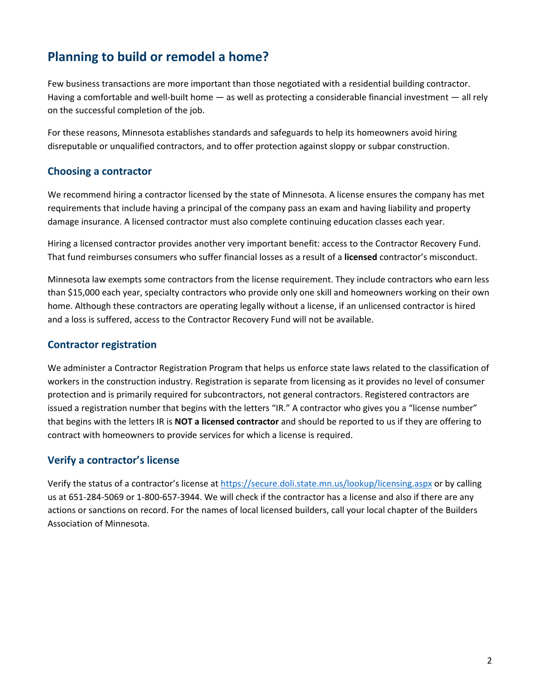# **Planning to build or remodel a home?**

Few business transactions are more important than those negotiated with a residential building contractor. Having a comfortable and well-built home — as well as protecting a considerable financial investment — all rely on the successful completion of the job.

For these reasons, Minnesota establishes standards and safeguards to help its homeowners avoid hiring disreputable or unqualified contractors, and to offer protection against sloppy or subpar construction.

#### **Choosing a contractor**

We recommend hiring a contractor licensed by the state of Minnesota. A license ensures the company has met requirements that include having a principal of the company pass an exam and having liability and property damage insurance. A licensed contractor must also complete continuing education classes each year.

Hiring a licensed contractor provides another very important benefit: access to the Contractor Recovery Fund. That fund reimburses consumers who suffer financial losses as a result of a **licensed** contractor's misconduct.

Minnesota law exempts some contractors from the license requirement. They include contractors who earn less than \$15,000 each year, specialty contractors who provide only one skill and homeowners working on their own home. Although these contractors are operating legally without a license, if an unlicensed contractor is hired and a loss is suffered, access to the Contractor Recovery Fund will not be available.

## **Contractor registration**

We administer a Contractor Registration Program that helps us enforce state laws related to the classification of workers in the construction industry. Registration is separate from licensing as it provides no level of consumer protection and is primarily required for subcontractors, not general contractors. Registered contractors are issued a registration number that begins with the letters "IR." A contractor who gives you a "license number" that begins with the letters IR is **NOT a licensed contractor** and should be reported to us if they are offering to contract with homeowners to provide services for which a license is required.

## **Verify a contractor's license**

Verify the status of a contractor's license at <https://secure.doli.state.mn.us/lookup/licensing.aspx> or by calling us at 651-284-5069 or 1-800-657-3944. We will check if the contractor has a license and also if there are any actions or sanctions on record. For the names of local licensed builders, call your local chapter of the Builders Association of Minnesota.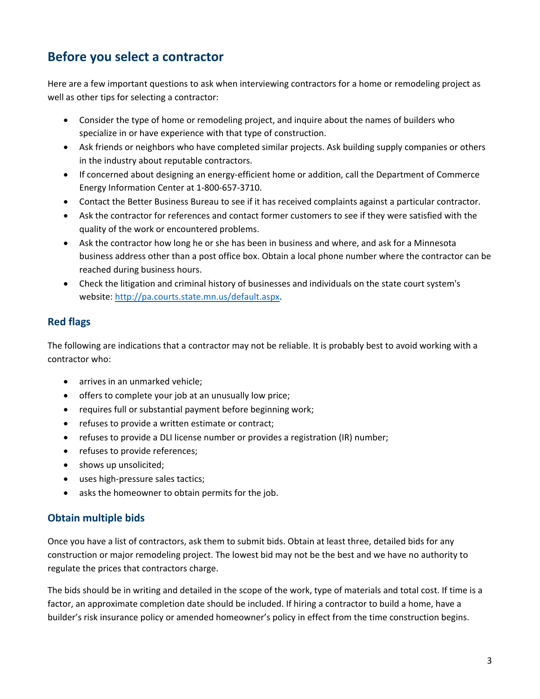# **Before you select a contractor**

Here are a few important questions to ask when interviewing contractors for a home or remodeling project as well as other tips for selecting a contractor:

- Consider the type of home or remodeling project, and inquire about the names of builders who specialize in or have experience with that type of construction.
- Ask friends or neighbors who have completed similar projects. Ask building supply companies or others in the industry about reputable contractors.
- If concerned about designing an energy-efficient home or addition, call the Department of Commerce Energy Information Center at 1-800-657-3710.
- Contact the Better Business Bureau to see if it has received complaints against a particular contractor.
- Ask the contractor for references and contact former customers to see if they were satisfied with the quality of the work or encountered problems.
- Ask the contractor how long he or she has been in business and where, and ask for a Minnesota business address other than a post office box. Obtain a local phone number where the contractor can be reached during business hours.
- Check the litigation and criminal history of businesses and individuals on the state court system's website: [http://pa.courts.state.mn.us/default.aspx.](http://pa.courts.state.mn.us/default.aspx)

# **Red flags**

The following are indications that a contractor may not be reliable. It is probably best to avoid working with a contractor who:

- arrives in an unmarked vehicle;
- offers to complete your job at an unusually low price;
- requires full or substantial payment before beginning work;
- refuses to provide a written estimate or contract;
- refuses to provide a DLI license number or provides a registration (IR) number;
- refuses to provide references;
- shows up unsolicited;
- uses high-pressure sales tactics;
- asks the homeowner to obtain permits for the job.

## **Obtain multiple bids**

Once you have a list of contractors, ask them to submit bids. Obtain at least three, detailed bids for any construction or major remodeling project. The lowest bid may not be the best and we have no authority to regulate the prices that contractors charge.

The bids should be in writing and detailed in the scope of the work, type of materials and total cost. If time is a factor, an approximate completion date should be included. If hiring a contractor to build a home, have a builder's risk insurance policy or amended homeowner's policy in effect from the time construction begins.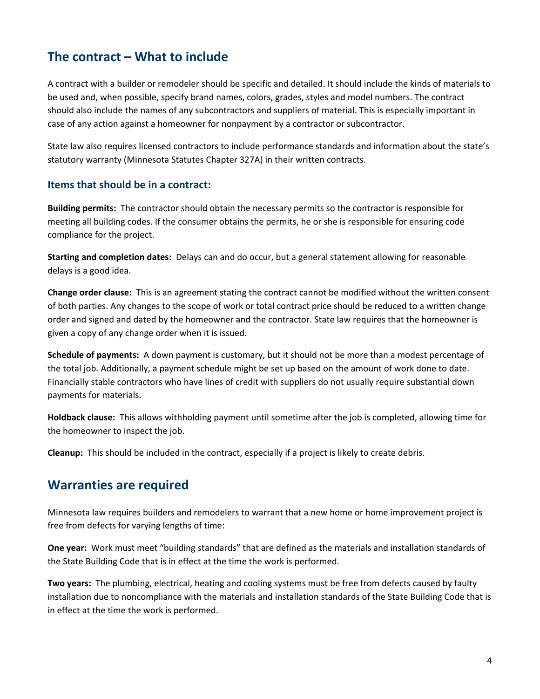# **The contract – What to include**

A contract with a builder or remodeler should be specific and detailed. It should include the kinds of materials to be used and, when possible, specify brand names, colors, grades, styles and model numbers. The contract should also include the names of any subcontractors and suppliers of material. This is especially important in case of any action against a homeowner for nonpayment by a contractor or subcontractor.

State law also requires licensed contractors to include performance standards and information about the state's statutory warranty (Minnesota Statutes Chapter 327A) in their written contracts.

#### **Items that should be in a contract:**

**Building permits:** The contractor should obtain the necessary permits so the contractor is responsible for meeting all building codes. If the consumer obtains the permits, he or she is responsible for ensuring code compliance for the project.

**Starting and completion dates:** Delays can and do occur, but a general statement allowing for reasonable delays is a good idea.

**Change order clause:** This is an agreement stating the contract cannot be modified without the written consent of both parties. Any changes to the scope of work or total contract price should be reduced to a written change order and signed and dated by the homeowner and the contractor. State law requires that the homeowner is given a copy of any change order when it is issued.

**Schedule of payments:** A down payment is customary, but it should not be more than a modest percentage of the total job. Additionally, a payment schedule might be set up based on the amount of work done to date. Financially stable contractors who have lines of credit with suppliers do not usually require substantial down payments for materials.

**Holdback clause:** This allows withholding payment until sometime after the job is completed, allowing time for the homeowner to inspect the job.

**Cleanup:** This should be included in the contract, especially if a project is likely to create debris.

# **Warranties are required**

Minnesota law requires builders and remodelers to warrant that a new home or home improvement project is free from defects for varying lengths of time:

**One year:** Work must meet "building standards" that are defined as the materials and installation standards of the State Building Code that is in effect at the time the work is performed.

**Two years:** The plumbing, electrical, heating and cooling systems must be free from defects caused by faulty installation due to noncompliance with the materials and installation standards of the State Building Code that is in effect at the time the work is performed.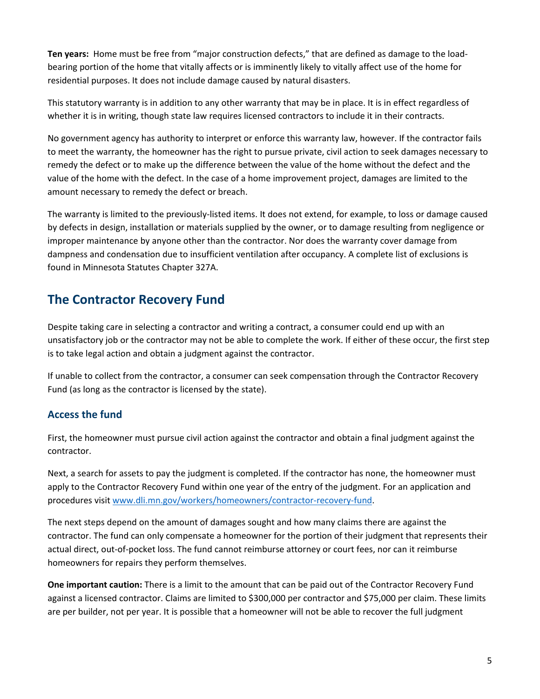**Ten years:** Home must be free from "major construction defects," that are defined as damage to the loadbearing portion of the home that vitally affects or is imminently likely to vitally affect use of the home for residential purposes. It does not include damage caused by natural disasters.

This statutory warranty is in addition to any other warranty that may be in place. It is in effect regardless of whether it is in writing, though state law requires licensed contractors to include it in their contracts.

No government agency has authority to interpret or enforce this warranty law, however. If the contractor fails to meet the warranty, the homeowner has the right to pursue private, civil action to seek damages necessary to remedy the defect or to make up the difference between the value of the home without the defect and the value of the home with the defect. In the case of a home improvement project, damages are limited to the amount necessary to remedy the defect or breach.

The warranty is limited to the previously-listed items. It does not extend, for example, to loss or damage caused by defects in design, installation or materials supplied by the owner, or to damage resulting from negligence or improper maintenance by anyone other than the contractor. Nor does the warranty cover damage from dampness and condensation due to insufficient ventilation after occupancy. A complete list of exclusions is found in Minnesota Statutes Chapter 327A.

# **The Contractor Recovery Fund**

Despite taking care in selecting a contractor and writing a contract, a consumer could end up with an unsatisfactory job or the contractor may not be able to complete the work. If either of these occur, the first step is to take legal action and obtain a judgment against the contractor.

If unable to collect from the contractor, a consumer can seek compensation through the Contractor Recovery Fund (as long as the contractor is licensed by the state).

# **Access the fund**

First, the homeowner must pursue civil action against the contractor and obtain a final judgment against the contractor.

Next, a search for assets to pay the judgment is completed. If the contractor has none, the homeowner must apply to the Contractor Recovery Fund within one year of the entry of the judgment. For an application and procedures visi[t www.dli.mn.gov/workers/homeowners/contractor-recovery-fund.](http://www.dli.mn.gov/workers/homeowners/contractor-recovery-fund)

The next steps depend on the amount of damages sought and how many claims there are against the contractor. The fund can only compensate a homeowner for the portion of their judgment that represents their actual direct, out-of-pocket loss. The fund cannot reimburse attorney or court fees, nor can it reimburse homeowners for repairs they perform themselves.

**One important caution:** There is a limit to the amount that can be paid out of the Contractor Recovery Fund against a licensed contractor. Claims are limited to \$300,000 per contractor and \$75,000 per claim. These limits are per builder, not per year. It is possible that a homeowner will not be able to recover the full judgment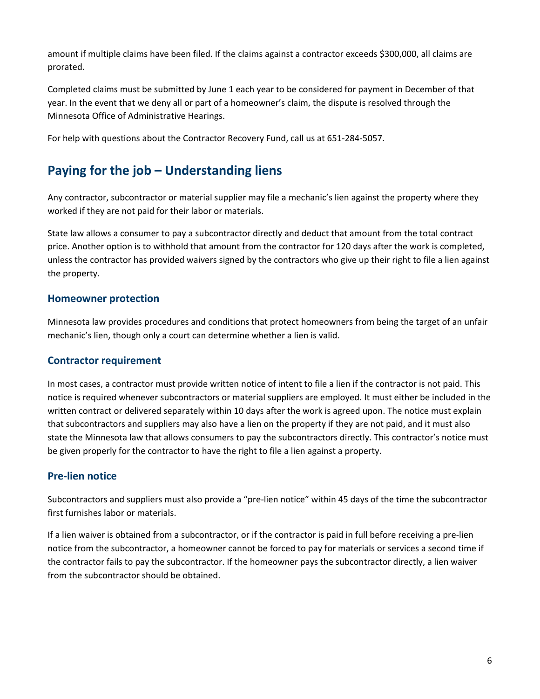amount if multiple claims have been filed. If the claims against a contractor exceeds \$300,000, all claims are prorated.

Completed claims must be submitted by June 1 each year to be considered for payment in December of that year. In the event that we deny all or part of a homeowner's claim, the dispute is resolved through the Minnesota Office of Administrative Hearings.

For help with questions about the Contractor Recovery Fund, call us at 651-284-5057.

# **Paying for the job – Understanding liens**

Any contractor, subcontractor or material supplier may file a mechanic's lien against the property where they worked if they are not paid for their labor or materials.

State law allows a consumer to pay a subcontractor directly and deduct that amount from the total contract price. Another option is to withhold that amount from the contractor for 120 days after the work is completed, unless the contractor has provided waivers signed by the contractors who give up their right to file a lien against the property.

## **Homeowner protection**

Minnesota law provides procedures and conditions that protect homeowners from being the target of an unfair mechanic's lien, though only a court can determine whether a lien is valid.

## **Contractor requirement**

In most cases, a contractor must provide written notice of intent to file a lien if the contractor is not paid. This notice is required whenever subcontractors or material suppliers are employed. It must either be included in the written contract or delivered separately within 10 days after the work is agreed upon. The notice must explain that subcontractors and suppliers may also have a lien on the property if they are not paid, and it must also state the Minnesota law that allows consumers to pay the subcontractors directly. This contractor's notice must be given properly for the contractor to have the right to file a lien against a property.

## **Pre-lien notice**

Subcontractors and suppliers must also provide a "pre-lien notice" within 45 days of the time the subcontractor first furnishes labor or materials.

If a lien waiver is obtained from a subcontractor, or if the contractor is paid in full before receiving a pre-lien notice from the subcontractor, a homeowner cannot be forced to pay for materials or services a second time if the contractor fails to pay the subcontractor. If the homeowner pays the subcontractor directly, a lien waiver from the subcontractor should be obtained.